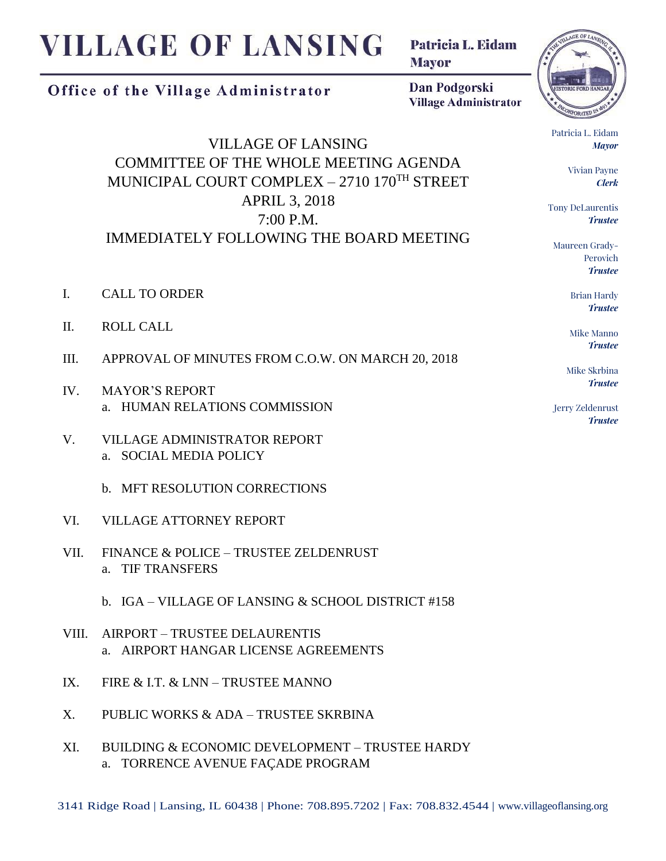## **VILLAGE OF LANSING**

Patricia L. Eidam **Mayor** 

## Office of the Village Administrator

Dan Podgorski **Village Administrator** 

VILLAGE OF LANSING COMMITTEE OF THE WHOLE MEETING AGENDA MUNICIPAL COURT COMPLEX – 2710 170TH STREET APRIL 3, 2018 7:00 P.M. IMMEDIATELY FOLLOWING THE BOARD MEETING

- I. CALL TO ORDER
- II. ROLL CALL
- III. APPROVAL OF MINUTES FROM C.O.W. ON MARCH 20, 2018
- IV. MAYOR'S REPORT a. HUMAN RELATIONS COMMISSION
- V. VILLAGE ADMINISTRATOR REPORT a. SOCIAL MEDIA POLICY
	- b. MFT RESOLUTION CORRECTIONS
- VI. VILLAGE ATTORNEY REPORT
- VII. FINANCE & POLICE TRUSTEE ZELDENRUST a. TIF TRANSFERS
	- b. IGA VILLAGE OF LANSING & SCHOOL DISTRICT #158
- VIII. AIRPORT TRUSTEE DELAURENTIS a. AIRPORT HANGAR LICENSE AGREEMENTS
- IX. FIRE & I.T. & LNN TRUSTEE MANNO
- X. PUBLIC WORKS & ADA TRUSTEE SKRBINA
- XI. BUILDING & ECONOMIC DEVELOPMENT TRUSTEE HARDY a. TORRENCE AVENUE FAÇADE PROGRAM



Patricia L. Eidam *Mayor*

> Vivian Payne *Clerk*

Tony DeLaurentis *Trustee*

Maureen Grady-Perovich *Trustee*

> Brian Hardy *Trustee*

Mike Manno *Trustee*

Mike Skrbina *Trustee*

Jerry Zeldenrust *Trustee*